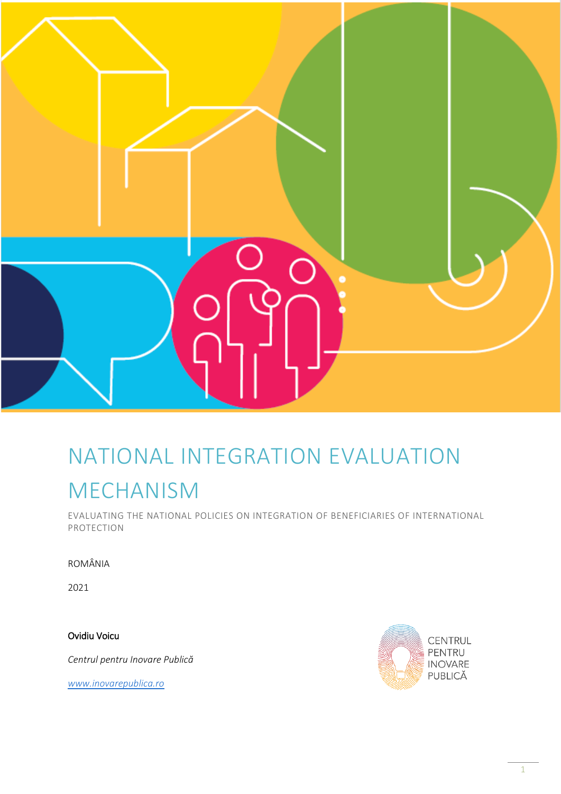

## NATIONAL INTEGRATION EVALUATION MECHANISM

EVALUATING THE NATIONAL POLICIES ON INTEGRATION OF BENEFICIARIES OF INTERNATIONAL PROTECTION

ROMÂNIA

2021

Ovidiu Voicu

*Centrul pentru Inovare Publică*

*[www.inovarepublica.ro](http://www.inovarepublica.ro/)*

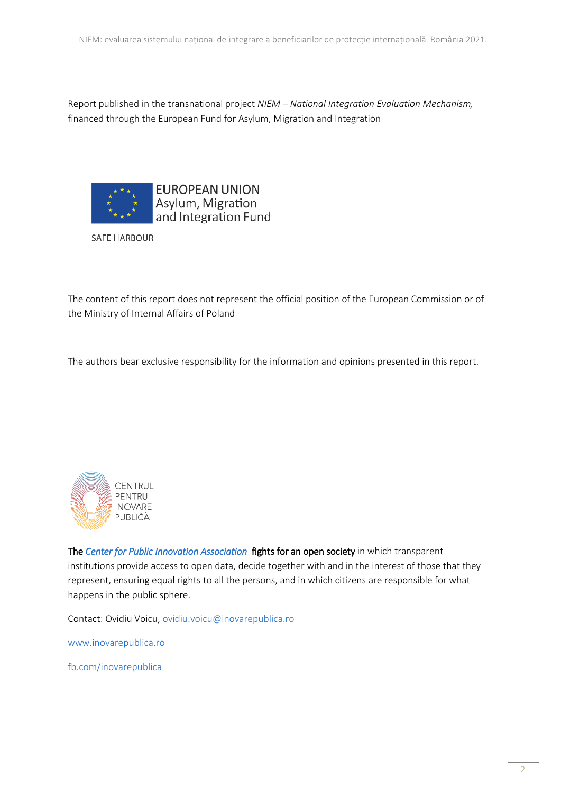Report published in the transnational project *NIEM – National Integration Evaluation Mechanism,*  financed through the European Fund for Asylum, Migration and Integration



**SAFE HARBOUR** 

The content of this report does not represent the official position of the European Commission or of the Ministry of Internal Affairs of Poland

The authors bear exclusive responsibility for the information and opinions presented in this report.



The *[Center for Public Innovation Association](http://www.inovarepublica.ro/)* fights for an open society in which transparent institutions provide access to open data, decide together with and in the interest of those that they represent, ensuring equal rights to all the persons, and in which citizens are responsible for what happens in the public sphere.

Contact: Ovidiu Voicu, [ovidiu.voicu@inovarepublica.ro](mailto:ovidiu.voicu@inovarepublica.ro)

[www.inovarepublica.ro](http://www.inovarepublica.ro/)

[fb.com/inovarepublica](http://www.fb.com/inovarepublica)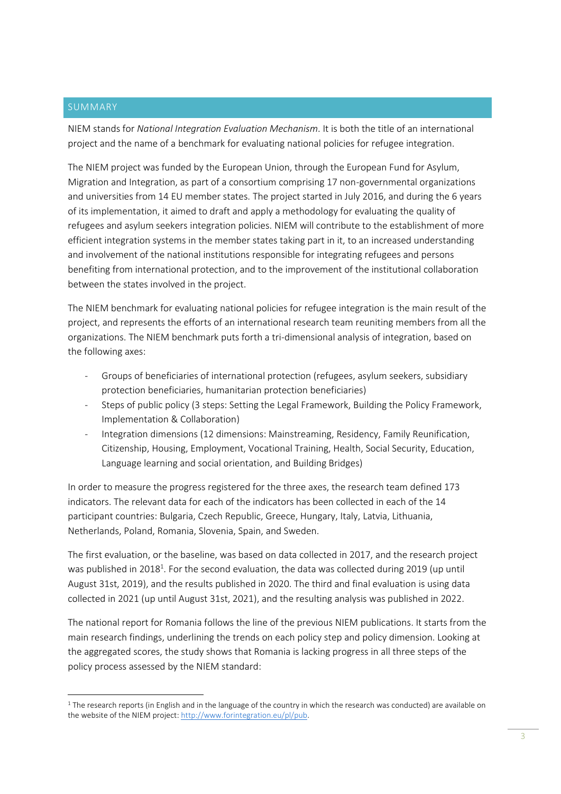## SUMMARY

**.** 

NIEM stands for *National Integration Evaluation Mechanism*. It is both the title of an international project and the name of a benchmark for evaluating national policies for refugee integration.

The NIEM project was funded by the European Union, through the European Fund for Asylum, Migration and Integration, as part of a consortium comprising 17 non-governmental organizations and universities from 14 EU member states. The project started in July 2016, and during the 6 years of its implementation, it aimed to draft and apply a methodology for evaluating the quality of refugees and asylum seekers integration policies. NIEM will contribute to the establishment of more efficient integration systems in the member states taking part in it, to an increased understanding and involvement of the national institutions responsible for integrating refugees and persons benefiting from international protection, and to the improvement of the institutional collaboration between the states involved in the project.

The NIEM benchmark for evaluating national policies for refugee integration is the main result of the project, and represents the efforts of an international research team reuniting members from all the organizations. The NIEM benchmark puts forth a tri-dimensional analysis of integration, based on the following axes:

- Groups of beneficiaries of international protection (refugees, asylum seekers, subsidiary protection beneficiaries, humanitarian protection beneficiaries)
- Steps of public policy (3 steps: Setting the Legal Framework, Building the Policy Framework, Implementation & Collaboration)
- Integration dimensions (12 dimensions: Mainstreaming, Residency, Family Reunification, Citizenship, Housing, Employment, Vocational Training, Health, Social Security, Education, Language learning and social orientation, and Building Bridges)

In order to measure the progress registered for the three axes, the research team defined 173 indicators. The relevant data for each of the indicators has been collected in each of the 14 participant countries: Bulgaria, Czech Republic, Greece, Hungary, Italy, Latvia, Lithuania, Netherlands, Poland, Romania, Slovenia, Spain, and Sweden.

The first evaluation, or the baseline, was based on data collected in 2017, and the research project was published in 2018<sup>1</sup>. For the second evaluation, the data was collected during 2019 (up until August 31st, 2019), and the results published in 2020. The third and final evaluation is using data collected in 2021 (up until August 31st, 2021), and the resulting analysis was published in 2022.

The national report for Romania follows the line of the previous NIEM publications. It starts from the main research findings, underlining the trends on each policy step and policy dimension. Looking at the aggregated scores, the study shows that Romania is lacking progress in all three steps of the policy process assessed by the NIEM standard:

<sup>&</sup>lt;sup>1</sup> The research reports (in English and in the language of the country in which the research was conducted) are available on the website of the NIEM project: http://www.forintegration.eu/pl/pub.